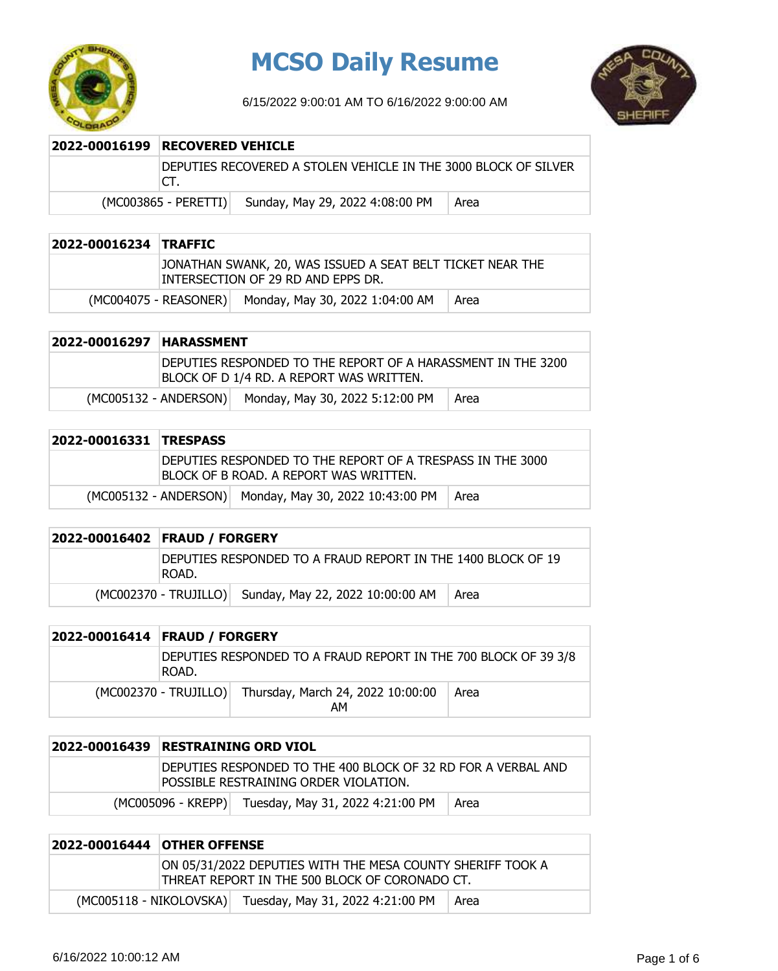

## **MCSO Daily Resume**

6/15/2022 9:00:01 AM TO 6/16/2022 9:00:00 AM



| 2022-00016199   RECOVERED VEHICLE |                                                                 |      |
|-----------------------------------|-----------------------------------------------------------------|------|
| CT.                               | DEPUTIES RECOVERED A STOLEN VEHICLE IN THE 3000 BLOCK OF SILVER |      |
| $(MCOO3865 - PERETTI)$            | Sunday, May 29, 2022 4:08:00 PM                                 | Area |

| 2022-00016234 TRAFFIC |                                                                                                  |      |
|-----------------------|--------------------------------------------------------------------------------------------------|------|
|                       | JONATHAN SWANK, 20, WAS ISSUED A SEAT BELT TICKET NEAR THE<br>INTERSECTION OF 29 RD AND EPPS DR. |      |
|                       | (MC004075 - REASONER) Monday, May 30, 2022 1:04:00 AM                                            | Area |

| 2022-00016297 HARASSMENT |                                                                                                           |                                                       |      |
|--------------------------|-----------------------------------------------------------------------------------------------------------|-------------------------------------------------------|------|
|                          | IDEPUTIES RESPONDED TO THE REPORT OF A HARASSMENT IN THE 3200<br>BLOCK OF D 1/4 RD. A REPORT WAS WRITTEN. |                                                       |      |
|                          |                                                                                                           | (MC005132 - ANDERSON) Monday, May 30, 2022 5:12:00 PM | Area |

| 2022-00016331 TRESPASS |                                                                                                       |                                                        |        |
|------------------------|-------------------------------------------------------------------------------------------------------|--------------------------------------------------------|--------|
|                        | DEPUTIES RESPONDED TO THE REPORT OF A TRESPASS IN THE 3000<br>IBLOCK OF B ROAD. A REPORT WAS WRITTEN. |                                                        |        |
|                        |                                                                                                       | (MC005132 - ANDERSON) Monday, May 30, 2022 10:43:00 PM | ∣ Area |

| 2022-00016402 FRAUD / FORGERY                                         |                                                        |      |
|-----------------------------------------------------------------------|--------------------------------------------------------|------|
| DEPUTIES RESPONDED TO A FRAUD REPORT IN THE 1400 BLOCK OF 19<br>ROAD. |                                                        |      |
|                                                                       | (MC002370 - TRUJILLO) Sunday, May 22, 2022 10:00:00 AM | Area |

| 2022-00016414 FRAUD / FORGERY                                            |                                                               |      |
|--------------------------------------------------------------------------|---------------------------------------------------------------|------|
| DEPUTIES RESPONDED TO A FRAUD REPORT IN THE 700 BLOCK OF 39 3/8<br>ROAD. |                                                               |      |
|                                                                          | (MC002370 - TRUJILLO) Thursday, March 24, 2022 10:00:00<br>AМ | Area |

| 2022-00016439   RESTRAINING ORD VIOL                                                                   |
|--------------------------------------------------------------------------------------------------------|
| DEPUTIES RESPONDED TO THE 400 BLOCK OF 32 RD FOR A VERBAL AND<br>POSSIBLE RESTRAINING ORDER VIOLATION. |
| Tuesday, May 31, 2022 4:21:00 PM<br>(MC005096 - KREPP)<br>  Area                                       |

| 2022-00016444   OTHER OFFENSE                                                                                |  |                                                          |      |
|--------------------------------------------------------------------------------------------------------------|--|----------------------------------------------------------|------|
| ON 05/31/2022 DEPUTIES WITH THE MESA COUNTY SHERIFF TOOK A<br>THREAT REPORT IN THE 500 BLOCK OF CORONADO CT. |  |                                                          |      |
|                                                                                                              |  | (MC005118 - NIKOLOVSKA) Tuesday, May 31, 2022 4:21:00 PM | Area |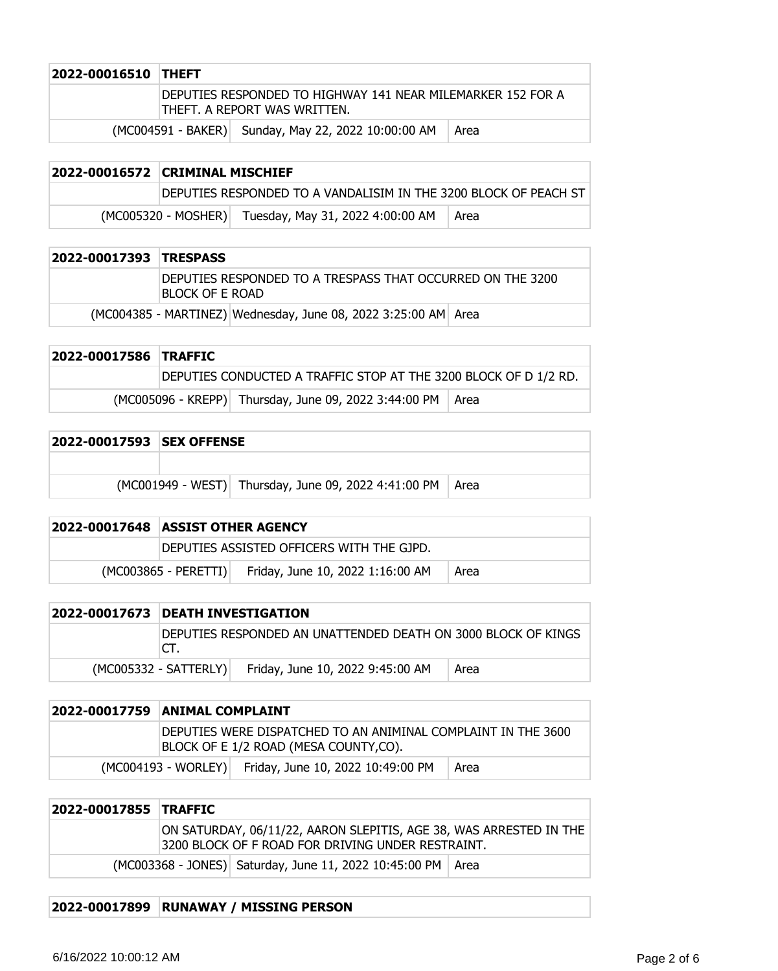| 2022-00016510 THEFT |                                                                                             |      |
|---------------------|---------------------------------------------------------------------------------------------|------|
|                     | DEPUTIES RESPONDED TO HIGHWAY 141 NEAR MILEMARKER 152 FOR A<br>THEFT. A REPORT WAS WRITTEN. |      |
|                     | (MC004591 - BAKER) Sunday, May 22, 2022 10:00:00 AM                                         | Area |

| 2022-00016572 CRIMINAL MISCHIEF                                  |                                  |        |
|------------------------------------------------------------------|----------------------------------|--------|
| DEPUTIES RESPONDED TO A VANDALISIM IN THE 3200 BLOCK OF PEACH ST |                                  |        |
| $(MCOO5320 - MOSHER)$                                            | Tuesday, May 31, 2022 4:00:00 AM | ∣ Area |

| 2022-00017393 TRESPASS |                                                                                 |
|------------------------|---------------------------------------------------------------------------------|
|                        | IDEPUTIES RESPONDED TO A TRESPASS THAT OCCURRED ON THE 3200<br>IBLOCK OF E ROAD |
|                        | (MC004385 - MARTINEZ) Wednesday, June 08, 2022 3:25:00 AM Area                  |

| 2022-00017586 TRAFFIC |                                                                  |  |
|-----------------------|------------------------------------------------------------------|--|
|                       | DEPUTIES CONDUCTED A TRAFFIC STOP AT THE 3200 BLOCK OF D 1/2 RD. |  |
|                       | (MC005096 - KREPP) Thursday, June 09, 2022 3:44:00 PM   Area     |  |

| 2022-00017593 ISEX OFFENSE |  |                                                             |  |
|----------------------------|--|-------------------------------------------------------------|--|
|                            |  |                                                             |  |
|                            |  | (MC001949 - WEST) Thursday, June 09, 2022 4:41:00 PM   Area |  |

| 2022-00017648   ASSIST OTHER AGENCY       |                                  |      |
|-------------------------------------------|----------------------------------|------|
| DEPUTIES ASSISTED OFFICERS WITH THE GJPD. |                                  |      |
| $(MCOO3865 - PERETTI)$                    | Friday, June 10, 2022 1:16:00 AM | Area |

| 2022-00017673 DEATH INVESTIGATION                                    |                                  |      |
|----------------------------------------------------------------------|----------------------------------|------|
| DEPUTIES RESPONDED AN UNATTENDED DEATH ON 3000 BLOCK OF KINGS<br>CT. |                                  |      |
| (MC005332 - SATTERLY)                                                | Friday, June 10, 2022 9:45:00 AM | Area |

| 2022-00017759 ANIMAL COMPLAINT                                                                         |                                                       |      |
|--------------------------------------------------------------------------------------------------------|-------------------------------------------------------|------|
| DEPUTIES WERE DISPATCHED TO AN ANIMINAL COMPLAINT IN THE 3600<br>BLOCK OF E 1/2 ROAD (MESA COUNTY,CO). |                                                       |      |
|                                                                                                        | (MC004193 - WORLEY) Friday, June 10, 2022 10:49:00 PM | Area |

| 2022-00017855 TRAFFIC |  |                                                                                                                         |  |
|-----------------------|--|-------------------------------------------------------------------------------------------------------------------------|--|
|                       |  | ON SATURDAY, 06/11/22, AARON SLEPITIS, AGE 38, WAS ARRESTED IN THE<br>3200 BLOCK OF F ROAD FOR DRIVING UNDER RESTRAINT. |  |
|                       |  | (MC003368 - JONES) Saturday, June 11, 2022 10:45:00 PM   Area                                                           |  |

## **2022-00017899 RUNAWAY / MISSING PERSON**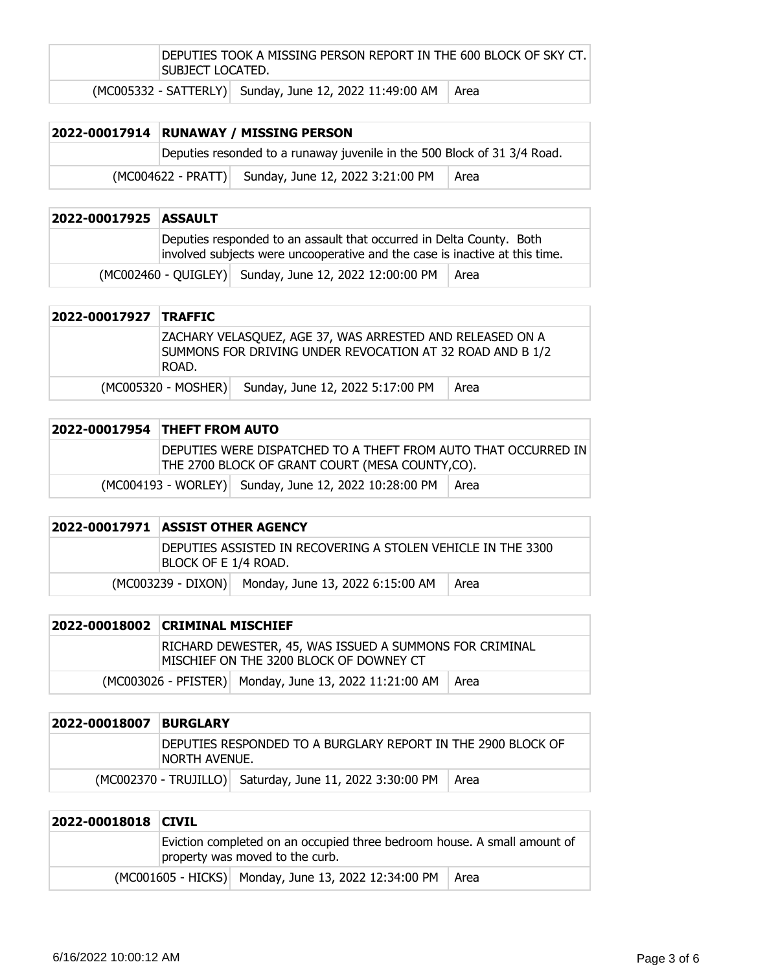| DEPUTIES TOOK A MISSING PERSON REPORT IN THE 600 BLOCK OF SKY CT.<br>SUBJECT LOCATED. |        |  |
|---------------------------------------------------------------------------------------|--------|--|
| (MC005332 - SATTERLY) Sunday, June 12, 2022 11:49:00 AM                               | l Area |  |

|  | 2022-00017914 RUNAWAY / MISSING PERSON                                   |        |
|--|--------------------------------------------------------------------------|--------|
|  | Deputies resonded to a runaway juvenile in the 500 Block of 31 3/4 Road. |        |
|  | (MC004622 - PRATT) Sunday, June 12, 2022 3:21:00 PM                      | l Area |

| 2022-00017925 ASSAULT |                                                                                                                                                     |      |
|-----------------------|-----------------------------------------------------------------------------------------------------------------------------------------------------|------|
|                       | Deputies responded to an assault that occurred in Delta County. Both<br>involved subjects were uncooperative and the case is inactive at this time. |      |
|                       | (MC002460 - QUIGLEY) Sunday, June 12, 2022 12:00:00 PM                                                                                              | Area |

| 2022-00017927 TRAFFIC |                     |                                                                                                                        |      |
|-----------------------|---------------------|------------------------------------------------------------------------------------------------------------------------|------|
|                       | ROAD.               | ZACHARY VELASQUEZ, AGE 37, WAS ARRESTED AND RELEASED ON A<br>SUMMONS FOR DRIVING UNDER REVOCATION AT 32 ROAD AND B 1/2 |      |
|                       | (MC005320 - MOSHER) | Sunday, June 12, 2022 5:17:00 PM                                                                                       | Area |

| 2022-00017954 THEFT FROM AUTO                                                                                        |                                                              |  |
|----------------------------------------------------------------------------------------------------------------------|--------------------------------------------------------------|--|
| IDEPUTIES WERE DISPATCHED TO A THEFT FROM AUTO THAT OCCURRED IN I<br>THE 2700 BLOCK OF GRANT COURT (MESA COUNTY,CO). |                                                              |  |
|                                                                                                                      | (MC004193 - WORLEY) Sunday, June 12, 2022 10:28:00 PM   Area |  |

|  | <b>2022-00017971 ASSIST OTHER AGENCY</b>                                             |                                                     |      |
|--|--------------------------------------------------------------------------------------|-----------------------------------------------------|------|
|  | DEPUTIES ASSISTED IN RECOVERING A STOLEN VEHICLE IN THE 3300<br>BLOCK OF E 1/4 ROAD. |                                                     |      |
|  |                                                                                      | (MC003239 - DIXON) Monday, June 13, 2022 6:15:00 AM | Area |

| 2022-00018002 CRIMINAL MISCHIEF                                                                    |                                                        |      |
|----------------------------------------------------------------------------------------------------|--------------------------------------------------------|------|
| RICHARD DEWESTER, 45, WAS ISSUED A SUMMONS FOR CRIMINAL<br>MISCHIEF ON THE 3200 BLOCK OF DOWNEY CT |                                                        |      |
|                                                                                                    | (MC003026 - PFISTER) Monday, June 13, 2022 11:21:00 AM | Area |

| 2022-00018007 | <b>BURGLARY</b>                                                                      |                                                          |        |
|---------------|--------------------------------------------------------------------------------------|----------------------------------------------------------|--------|
|               | DEPUTIES RESPONDED TO A BURGLARY REPORT IN THE 2900 BLOCK OF<br><b>NORTH AVENUE.</b> |                                                          |        |
|               |                                                                                      | (MC002370 - TRUJILLO) Saturday, June 11, 2022 3:30:00 PM | ∣ Area |

| 2022-00018018 CIVIL |                                                                                                             |      |
|---------------------|-------------------------------------------------------------------------------------------------------------|------|
|                     | Eviction completed on an occupied three bedroom house. A small amount of<br>property was moved to the curb. |      |
|                     | (MC001605 - HICKS) Monday, June 13, 2022 12:34:00 PM                                                        | Area |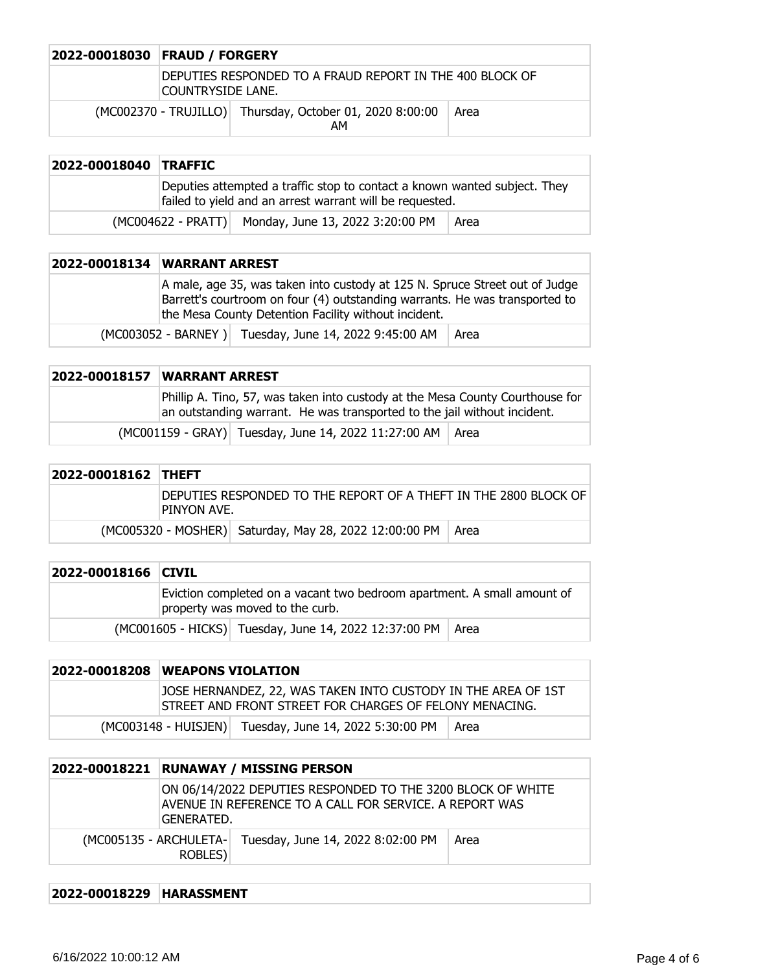| 2022-00018030 FRAUD / FORGERY |                                                                                      |                                                                |      |
|-------------------------------|--------------------------------------------------------------------------------------|----------------------------------------------------------------|------|
|                               | DEPUTIES RESPONDED TO A FRAUD REPORT IN THE 400 BLOCK OF<br><b>COUNTRYSIDE LANE.</b> |                                                                |      |
|                               |                                                                                      | (MC002370 - TRUJILLO) Thursday, October 01, 2020 8:00:00<br>AM | Area |

| 2022-00018040 TRAFFIC |                                                                                                                                       |                                                     |      |
|-----------------------|---------------------------------------------------------------------------------------------------------------------------------------|-----------------------------------------------------|------|
|                       | Deputies attempted a traffic stop to contact a known wanted subject. They<br>failed to yield and an arrest warrant will be requested. |                                                     |      |
|                       |                                                                                                                                       | (MC004622 - PRATT) Monday, June 13, 2022 3:20:00 PM | Area |

| 2022-00018134 WARRANT ARREST |                                                                                                                                                                                                                    |                                                       |      |
|------------------------------|--------------------------------------------------------------------------------------------------------------------------------------------------------------------------------------------------------------------|-------------------------------------------------------|------|
|                              | A male, age 35, was taken into custody at 125 N. Spruce Street out of Judge<br>Barrett's courtroom on four (4) outstanding warrants. He was transported to<br>the Mesa County Detention Facility without incident. |                                                       |      |
|                              |                                                                                                                                                                                                                    | (MC003052 - BARNEY) Tuesday, June 14, 2022 9:45:00 AM | Area |

| <b>2022-00018157 WARRANT ARREST</b>                                                                                                                       |  |
|-----------------------------------------------------------------------------------------------------------------------------------------------------------|--|
| Phillip A. Tino, 57, was taken into custody at the Mesa County Courthouse for<br>an outstanding warrant. He was transported to the jail without incident. |  |
| (MC001159 - GRAY) Tuesday, June 14, 2022 11:27:00 AM   Area                                                                                               |  |

| 2022-00018162 THEFT |             |                                                                  |      |
|---------------------|-------------|------------------------------------------------------------------|------|
|                     | PINYON AVE. | DEPUTIES RESPONDED TO THE REPORT OF A THEFT IN THE 2800 BLOCK OF |      |
|                     |             | (MC005320 - MOSHER) Saturday, May 28, 2022 12:00:00 PM           | Area |

| 2022-00018166 CIVIL |                                                                                                            |  |
|---------------------|------------------------------------------------------------------------------------------------------------|--|
|                     | Eviction completed on a vacant two bedroom apartment. A small amount of<br>property was moved to the curb. |  |
|                     | (MC001605 - HICKS) Tuesday, June 14, 2022 12:37:00 PM   Area                                               |  |

| 2022-00018208 WEAPONS VIOLATION |                                                                                                                          |  |
|---------------------------------|--------------------------------------------------------------------------------------------------------------------------|--|
|                                 | JOSE HERNANDEZ, 22, WAS TAKEN INTO CUSTODY IN THE AREA OF 1ST<br>STREET AND FRONT STREET FOR CHARGES OF FELONY MENACING. |  |
|                                 | (MC003148 - HUISJEN) Tuesday, June 14, 2022 5:30:00 PM   Area                                                            |  |

| 2022-00018221 | <b>RUNAWAY / MISSING PERSON</b> |                                                                                                                        |      |
|---------------|---------------------------------|------------------------------------------------------------------------------------------------------------------------|------|
|               | GENERATED.                      | ON 06/14/2022 DEPUTIES RESPONDED TO THE 3200 BLOCK OF WHITE<br>AVENUE IN REFERENCE TO A CALL FOR SERVICE. A REPORT WAS |      |
| ROBLES)       |                                 | (MC005135 - ARCHULETA- Tuesday, June 14, 2022 8:02:00 PM                                                               | Area |

## **2022-00018229 HARASSMENT**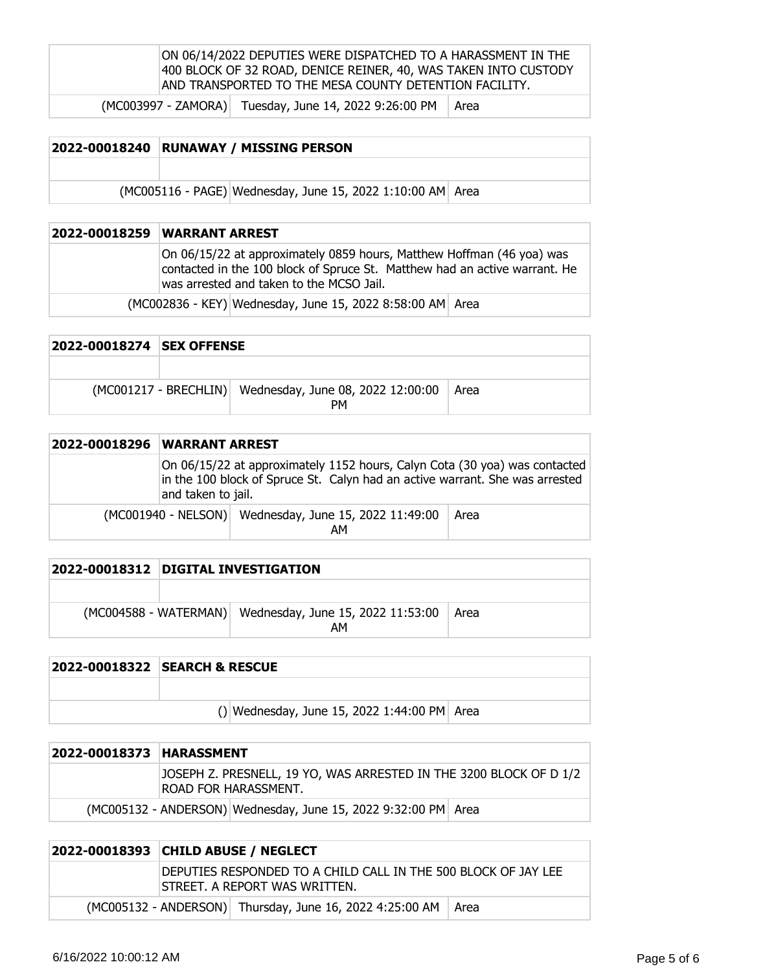| ON 06/14/2022 DEPUTIES WERE DISPATCHED TO A HARASSMENT IN THE   |
|-----------------------------------------------------------------|
| 400 BLOCK OF 32 ROAD, DENICE REINER, 40, WAS TAKEN INTO CUSTODY |
| AND TRANSPORTED TO THE MESA COUNTY DETENTION FACILITY.          |
|                                                                 |

 $(MCOO3997 - ZAMORA)$  Tuesday, June 14, 2022 9:26:00 PM  $ARea$ 

| 2022-00018240 | <b>RUNAWAY / MISSING PERSON</b>                            |  |  |
|---------------|------------------------------------------------------------|--|--|
|               |                                                            |  |  |
|               | (MC005116 - PAGE) Wednesday, June 15, 2022 1:10:00 AM Area |  |  |

| 2022-00018259 WARRANT ARREST                                                                                                                                                                    |
|-------------------------------------------------------------------------------------------------------------------------------------------------------------------------------------------------|
| On 06/15/22 at approximately 0859 hours, Matthew Hoffman (46 yoa) was<br>contacted in the 100 block of Spruce St. Matthew had an active warrant. He<br>was arrested and taken to the MCSO Jail. |
| (MC002836 - KEY) Wednesday, June 15, 2022 8:58:00 AM Area                                                                                                                                       |

| 2022-00018274 ISEX OFFENSE |                                                                      |  |
|----------------------------|----------------------------------------------------------------------|--|
|                            |                                                                      |  |
|                            | (MC001217 - BRECHLIN) Wednesday, June 08, 2022 12:00:00   Area<br>PМ |  |

| 2022-00018296   WARRANT ARREST |                    |                                                                                                                                                            |      |
|--------------------------------|--------------------|------------------------------------------------------------------------------------------------------------------------------------------------------------|------|
|                                | and taken to jail. | On 06/15/22 at approximately 1152 hours, Calyn Cota (30 yoa) was contacted<br>in the 100 block of Spruce St. Calyn had an active warrant. She was arrested |      |
|                                |                    | (MC001940 - NELSON) Wednesday, June 15, 2022 11:49:00<br>AМ                                                                                                | Area |

|                         | 2022-00018312 DIGITAL INVESTIGATION     |        |
|-------------------------|-----------------------------------------|--------|
|                         |                                         |        |
| $(MCOO4588 - WATERMAN)$ | Wednesday, June 15, 2022 11:53:00<br>АΜ | l Area |

| <b>2022-00018322 SEARCH &amp; RESCUE</b>    |
|---------------------------------------------|
|                                             |
| () Wednesday, June 15, 2022 1:44:00 PM Area |

| 2022-00018373 HARASSMENT |  |                                                                                                   |  |
|--------------------------|--|---------------------------------------------------------------------------------------------------|--|
|                          |  | JOSEPH Z. PRESNELL, 19 YO, WAS ARRESTED IN THE 3200 BLOCK OF D 1/2<br><b>ROAD FOR HARASSMENT.</b> |  |
|                          |  | (MC005132 - ANDERSON) Wednesday, June 15, 2022 9:32:00 PM Area                                    |  |

|  | 2022-00018393 CHILD ABUSE / NEGLECT |                                                                                                 |  |
|--|-------------------------------------|-------------------------------------------------------------------------------------------------|--|
|  |                                     | DEPUTIES RESPONDED TO A CHILD CALL IN THE 500 BLOCK OF JAY LEE<br>STREET. A REPORT WAS WRITTEN. |  |
|  |                                     | (MC005132 - ANDERSON) Thursday, June 16, 2022 4:25:00 AM   Area                                 |  |